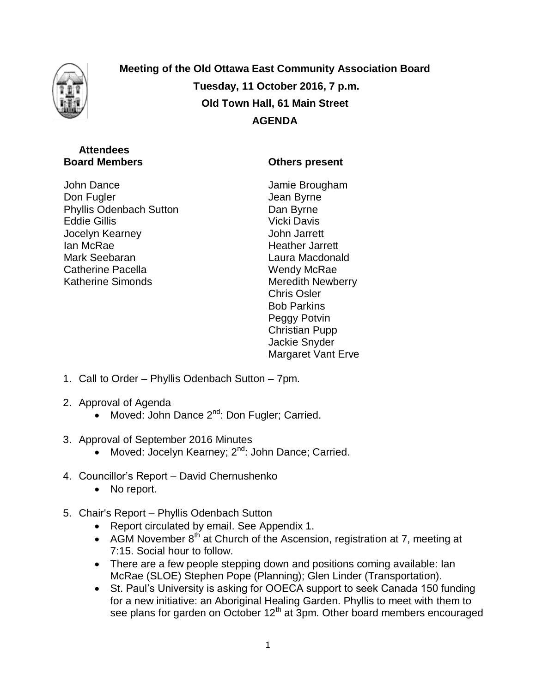

**Meeting of the Old Ottawa East Community Association Board Tuesday, 11 October 2016, 7 p.m. Old Town Hall, 61 Main Street AGENDA**

## **Attendees Board Members**

John Dance Don Fugler Phyllis Odenbach Sutton Eddie Gillis Jocelyn Kearney Ian McRae Mark Seebaran Catherine Pacella Katherine Simonds

## **Others present**

Jamie Brougham Jean Byrne Dan Byrne Vicki Davis John Jarrett Heather Jarrett Laura Macdonald Wendy McRae Meredith Newberry Chris Osler Bob Parkins Peggy Potvin Christian Pupp Jackie Snyder Margaret Vant Erve

- 1. Call to Order Phyllis Odenbach Sutton 7pm.
- 2. Approval of Agenda
	- Moved: John Dance  $2^{nd}$ : Don Fugler; Carried.
- 3. Approval of September 2016 Minutes
	- Moved: Jocelyn Kearney; 2<sup>nd</sup>: John Dance; Carried.
- 4. Councillor's Report David Chernushenko
	- No report.
- 5. Chair's Report Phyllis Odenbach Sutton
	- Report circulated by email. See Appendix 1.
	- AGM November  $8<sup>th</sup>$  at Church of the Ascension, registration at 7, meeting at 7:15. Social hour to follow.
	- There are a few people stepping down and positions coming available: lan McRae (SLOE) Stephen Pope (Planning); Glen Linder (Transportation).
	- St. Paul's University is asking for OOECA support to seek Canada 150 funding for a new initiative: an Aboriginal Healing Garden. Phyllis to meet with them to see plans for garden on October  $12<sup>th</sup>$  at 3pm. Other board members encouraged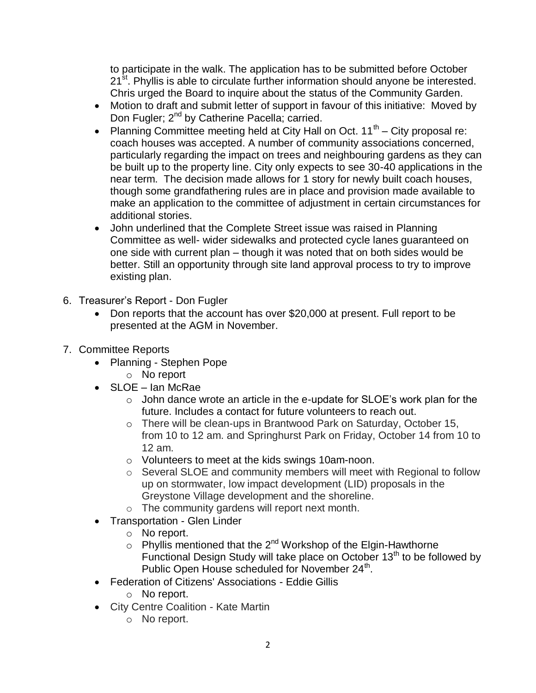to participate in the walk. The application has to be submitted before October 21<sup>st</sup>. Phyllis is able to circulate further information should anyone be interested. Chris urged the Board to inquire about the status of the Community Garden.

- Motion to draft and submit letter of support in favour of this initiative: Moved by Don Fugler; 2<sup>nd</sup> by Catherine Pacella; carried.
- Planning Committee meeting held at City Hall on Oct.  $11<sup>th</sup>$  City proposal re: coach houses was accepted. A number of community associations concerned, particularly regarding the impact on trees and neighbouring gardens as they can be built up to the property line. City only expects to see 30-40 applications in the near term. The decision made allows for 1 story for newly built coach houses, though some grandfathering rules are in place and provision made available to make an application to the committee of adjustment in certain circumstances for additional stories.
- John underlined that the Complete Street issue was raised in Planning Committee as well- wider sidewalks and protected cycle lanes guaranteed on one side with current plan – though it was noted that on both sides would be better. Still an opportunity through site land approval process to try to improve existing plan.
- 6. Treasurer's Report Don Fugler
	- Don reports that the account has over \$20,000 at present. Full report to be presented at the AGM in November.
- 7. Committee Reports
	- Planning Stephen Pope
		- o No report
	- SLOE Ian McRae
		- $\circ$  John dance wrote an article in the e-update for SLOE's work plan for the future. Includes a contact for future volunteers to reach out.
		- o There will be clean-ups in Brantwood Park on Saturday, October 15, from 10 to 12 am. and Springhurst Park on Friday, October 14 from 10 to 12 am.
		- o Volunteers to meet at the kids swings 10am-noon.
		- o Several SLOE and community members will meet with Regional to follow up on stormwater, low impact development (LID) proposals in the Greystone Village development and the shoreline.
		- o The community gardens will report next month.
	- Transportation Glen Linder
		- o No report.
		- $\circ$  Phyllis mentioned that the 2<sup>nd</sup> Workshop of the Elgin-Hawthorne Functional Design Study will take place on October 13<sup>th</sup> to be followed by Public Open House scheduled for November  $24<sup>th</sup>$ .
	- Federation of Citizens' Associations Eddie Gillis
		- o No report.
	- City Centre Coalition Kate Martin
		- o No report.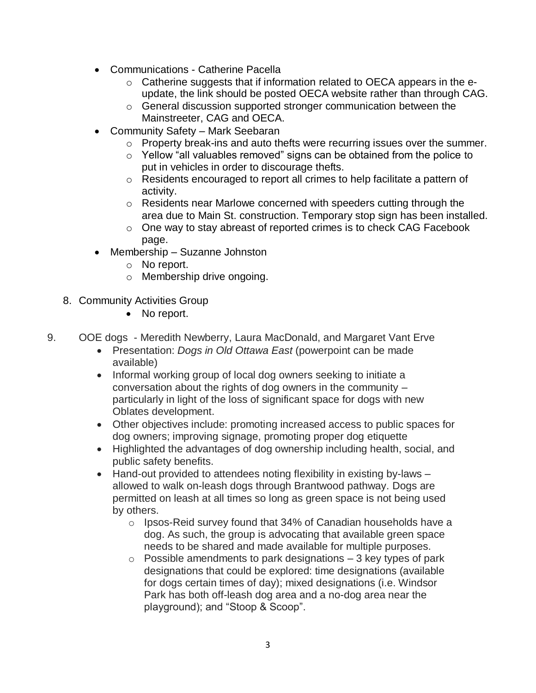- Communications Catherine Pacella
	- o Catherine suggests that if information related to OECA appears in the eupdate, the link should be posted OECA website rather than through CAG.
	- o General discussion supported stronger communication between the Mainstreeter, CAG and OECA.
- Community Safety Mark Seebaran
	- $\circ$  Property break-ins and auto thefts were recurring issues over the summer.
	- o Yellow "all valuables removed" signs can be obtained from the police to put in vehicles in order to discourage thefts.
	- o Residents encouraged to report all crimes to help facilitate a pattern of activity.
	- $\circ$  Residents near Marlowe concerned with speeders cutting through the area due to Main St. construction. Temporary stop sign has been installed.
	- o One way to stay abreast of reported crimes is to check CAG Facebook page.
- Membership Suzanne Johnston
	- o No report.
	- o Membership drive ongoing.
- 8. Community Activities Group
	- No report.
- 9. OOE dogs Meredith Newberry, Laura MacDonald, and Margaret Vant Erve
	- Presentation: *Dogs in Old Ottawa East* (powerpoint can be made available)
	- Informal working group of local dog owners seeking to initiate a conversation about the rights of dog owners in the community – particularly in light of the loss of significant space for dogs with new Oblates development.
	- Other objectives include: promoting increased access to public spaces for dog owners; improving signage, promoting proper dog etiquette
	- Highlighted the advantages of dog ownership including health, social, and public safety benefits.
	- Hand-out provided to attendees noting flexibility in existing by-laws allowed to walk on-leash dogs through Brantwood pathway. Dogs are permitted on leash at all times so long as green space is not being used by others.
		- o Ipsos-Reid survey found that 34% of Canadian households have a dog. As such, the group is advocating that available green space needs to be shared and made available for multiple purposes.
		- $\circ$  Possible amendments to park designations  $-3$  key types of park designations that could be explored: time designations (available for dogs certain times of day); mixed designations (i.e. Windsor Park has both off-leash dog area and a no-dog area near the playground); and "Stoop & Scoop".